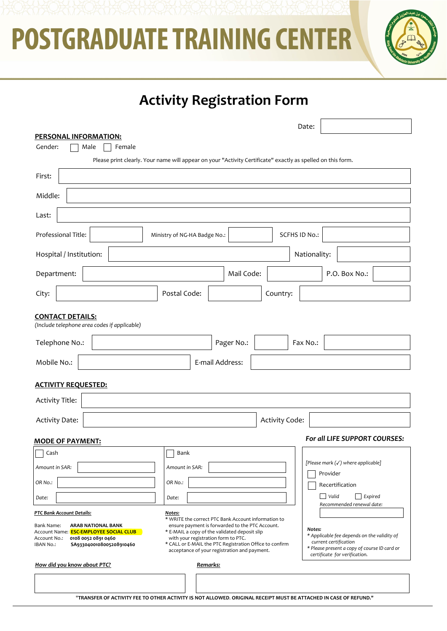



# **Activity Registration Form**

| PERSONAL INFORMATION:                                                                                                                                                                          | Date:                                                                                                                                                                                                                                                                                                                                                                                                                                                                                  |
|------------------------------------------------------------------------------------------------------------------------------------------------------------------------------------------------|----------------------------------------------------------------------------------------------------------------------------------------------------------------------------------------------------------------------------------------------------------------------------------------------------------------------------------------------------------------------------------------------------------------------------------------------------------------------------------------|
| Gender:<br>Female<br>Male                                                                                                                                                                      |                                                                                                                                                                                                                                                                                                                                                                                                                                                                                        |
|                                                                                                                                                                                                | Please print clearly. Your name will appear on your "Activity Certificate" exactly as spelled on this form.                                                                                                                                                                                                                                                                                                                                                                            |
| First:                                                                                                                                                                                         |                                                                                                                                                                                                                                                                                                                                                                                                                                                                                        |
| Middle:                                                                                                                                                                                        |                                                                                                                                                                                                                                                                                                                                                                                                                                                                                        |
| Last:                                                                                                                                                                                          |                                                                                                                                                                                                                                                                                                                                                                                                                                                                                        |
| Professional Title:                                                                                                                                                                            | <b>SCFHS ID No.:</b><br>Ministry of NG-HA Badge No.:                                                                                                                                                                                                                                                                                                                                                                                                                                   |
| Hospital / Institution:                                                                                                                                                                        | Nationality:                                                                                                                                                                                                                                                                                                                                                                                                                                                                           |
| Department:                                                                                                                                                                                    | Mail Code:<br>P.O. Box No.:                                                                                                                                                                                                                                                                                                                                                                                                                                                            |
| City:                                                                                                                                                                                          | Postal Code:<br>Country:                                                                                                                                                                                                                                                                                                                                                                                                                                                               |
| <b>CONTACT DETAILS:</b><br>(Include telephone area codes if applicable)                                                                                                                        |                                                                                                                                                                                                                                                                                                                                                                                                                                                                                        |
| Telephone No.:                                                                                                                                                                                 | Pager No.:<br>Fax No.:                                                                                                                                                                                                                                                                                                                                                                                                                                                                 |
| Mobile No.:                                                                                                                                                                                    | E-mail Address:                                                                                                                                                                                                                                                                                                                                                                                                                                                                        |
| <b>ACTIVITY REQUESTED:</b>                                                                                                                                                                     |                                                                                                                                                                                                                                                                                                                                                                                                                                                                                        |
| <b>Activity Title:</b>                                                                                                                                                                         |                                                                                                                                                                                                                                                                                                                                                                                                                                                                                        |
| <b>Activity Date:</b>                                                                                                                                                                          | Activity Code:                                                                                                                                                                                                                                                                                                                                                                                                                                                                         |
| For all LIFE SUPPORT COURSES:<br><b>MODE OF PAYMENT:</b>                                                                                                                                       |                                                                                                                                                                                                                                                                                                                                                                                                                                                                                        |
| Cash                                                                                                                                                                                           | Bank                                                                                                                                                                                                                                                                                                                                                                                                                                                                                   |
| Amount in SAR:                                                                                                                                                                                 | [Please mark (√) where applicable]<br>Amount in SAR:<br>Provider                                                                                                                                                                                                                                                                                                                                                                                                                       |
| OR No.:                                                                                                                                                                                        | OR No.:<br>Recertification                                                                                                                                                                                                                                                                                                                                                                                                                                                             |
| Date:                                                                                                                                                                                          | Valid<br>Expired<br>Date:<br>Recommended renewal date:                                                                                                                                                                                                                                                                                                                                                                                                                                 |
| PTC Bank Account Details:<br><b>ARAB NATIONAL BANK</b><br>Bank Name:<br>Account Name: ESC-EMPLOYEE SOCIAL CLUB<br>0108 0052 0891 0460<br>Account No.:<br>IBAN No.:<br>SA9330400108005208910460 | Notes:<br>* WRITE the correct PTC Bank Account information to<br>ensure payment is forwarded to the PTC Account.<br>Notes:<br>* E-MAIL a copy of the validated deposit slip<br>* Applicable fee depends on the validity of<br>with your registration form to PTC.<br>current certification<br>* CALL or E-MAIL the PTC Registration Office to confirm<br>* Please present a copy of course ID card or<br>acceptance of your registration and payment.<br>certificate for verification. |
| How did you know about PTC?                                                                                                                                                                    | Remarks:                                                                                                                                                                                                                                                                                                                                                                                                                                                                               |
|                                                                                                                                                                                                | "TRANSFER OF ACTIVITY FEE TO OTHER ACTIVITY IS NOT ALLOWED. ORIGINAL RECEIPT MUST BE ATTACHED IN CASE OF REFUND."                                                                                                                                                                                                                                                                                                                                                                      |